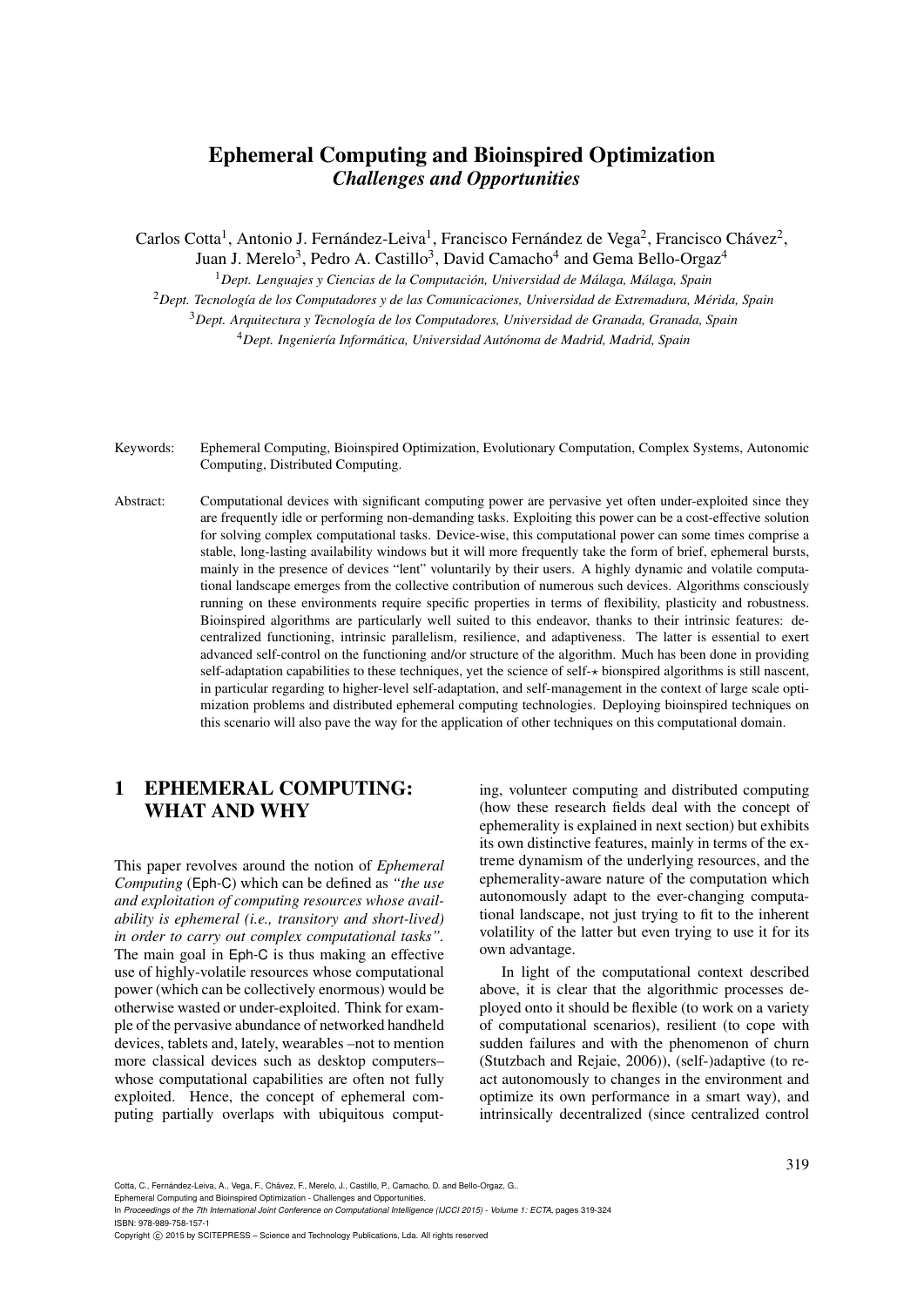# Ephemeral Computing and Bioinspired Optimization *Challenges and Opportunities*

Carlos Cotta<sup>1</sup>, Antonio J. Fernández-Leiva<sup>1</sup>, Francisco Fernández de Vega<sup>2</sup>, Francisco Chávez<sup>2</sup>, Juan J. Merelo<sup>3</sup>, Pedro A. Castillo<sup>3</sup>, David Camacho<sup>4</sup> and Gema Bello-Orgaz<sup>4</sup>

<sup>1</sup>*Dept. Lenguajes y Ciencias de la Computacion, Universidad de M ´ alaga, M ´ alaga, Spain ´*

<sup>2</sup>*Dept. Tecnolog´ıa de los Computadores y de las Comunicaciones, Universidad de Extremadura, Merida, Spain ´* <sup>3</sup>*Dept. Arquitectura y Tecnolog´ıa de los Computadores, Universidad de Granada, Granada, Spain* <sup>4</sup>*Dept. Ingenier´ıa Informatica, Universidad Aut ´ onoma de Madrid, Madrid, Spain ´*

- Keywords: Ephemeral Computing, Bioinspired Optimization, Evolutionary Computation, Complex Systems, Autonomic Computing, Distributed Computing.
- Abstract: Computational devices with significant computing power are pervasive yet often under-exploited since they are frequently idle or performing non-demanding tasks. Exploiting this power can be a cost-effective solution for solving complex computational tasks. Device-wise, this computational power can some times comprise a stable, long-lasting availability windows but it will more frequently take the form of brief, ephemeral bursts, mainly in the presence of devices "lent" voluntarily by their users. A highly dynamic and volatile computational landscape emerges from the collective contribution of numerous such devices. Algorithms consciously running on these environments require specific properties in terms of flexibility, plasticity and robustness. Bioinspired algorithms are particularly well suited to this endeavor, thanks to their intrinsic features: decentralized functioning, intrinsic parallelism, resilience, and adaptiveness. The latter is essential to exert advanced self-control on the functioning and/or structure of the algorithm. Much has been done in providing self-adaptation capabilities to these techniques, yet the science of self- $\star$  bionspired algorithms is still nascent, in particular regarding to higher-level self-adaptation, and self-management in the context of large scale optimization problems and distributed ephemeral computing technologies. Deploying bioinspired techniques on this scenario will also pave the way for the application of other techniques on this computational domain.

## 1 EPHEMERAL COMPUTING: WHAT AND WHY

This paper revolves around the notion of *Ephemeral Computing* (Eph-C) which can be defined as *"the use and exploitation of computing resources whose availability is ephemeral (i.e., transitory and short-lived) in order to carry out complex computational tasks".* The main goal in Eph-C is thus making an effective use of highly-volatile resources whose computational power (which can be collectively enormous) would be otherwise wasted or under-exploited. Think for example of the pervasive abundance of networked handheld devices, tablets and, lately, wearables –not to mention more classical devices such as desktop computers– whose computational capabilities are often not fully exploited. Hence, the concept of ephemeral computing partially overlaps with ubiquitous comput-

ing, volunteer computing and distributed computing (how these research fields deal with the concept of ephemerality is explained in next section) but exhibits its own distinctive features, mainly in terms of the extreme dynamism of the underlying resources, and the ephemerality-aware nature of the computation which autonomously adapt to the ever-changing computational landscape, not just trying to fit to the inherent volatility of the latter but even trying to use it for its own advantage.

In light of the computational context described above, it is clear that the algorithmic processes deployed onto it should be flexible (to work on a variety of computational scenarios), resilient (to cope with sudden failures and with the phenomenon of churn (Stutzbach and Rejaie, 2006)), (self-)adaptive (to react autonomously to changes in the environment and optimize its own performance in a smart way), and intrinsically decentralized (since centralized control

Ephemeral Computing and Bioinspired Optimization - Challenges and Opportunities.

Cotta, C., Fernández-Leiva, A., Vega, F., Chávez, F., Merelo, J., Castillo, P., Camacho, D. and Bello-Orgaz, G..

In *Proceedings of the 7th International Joint Conference on Computational Intelligence (IJCCI 2015) - Volume 1: ECTA*, pages 319-324 ISBN: 978-989-758-157-1

Copyright C 2015 by SCITEPRESS - Science and Technology Publications, Lda. All rights reserved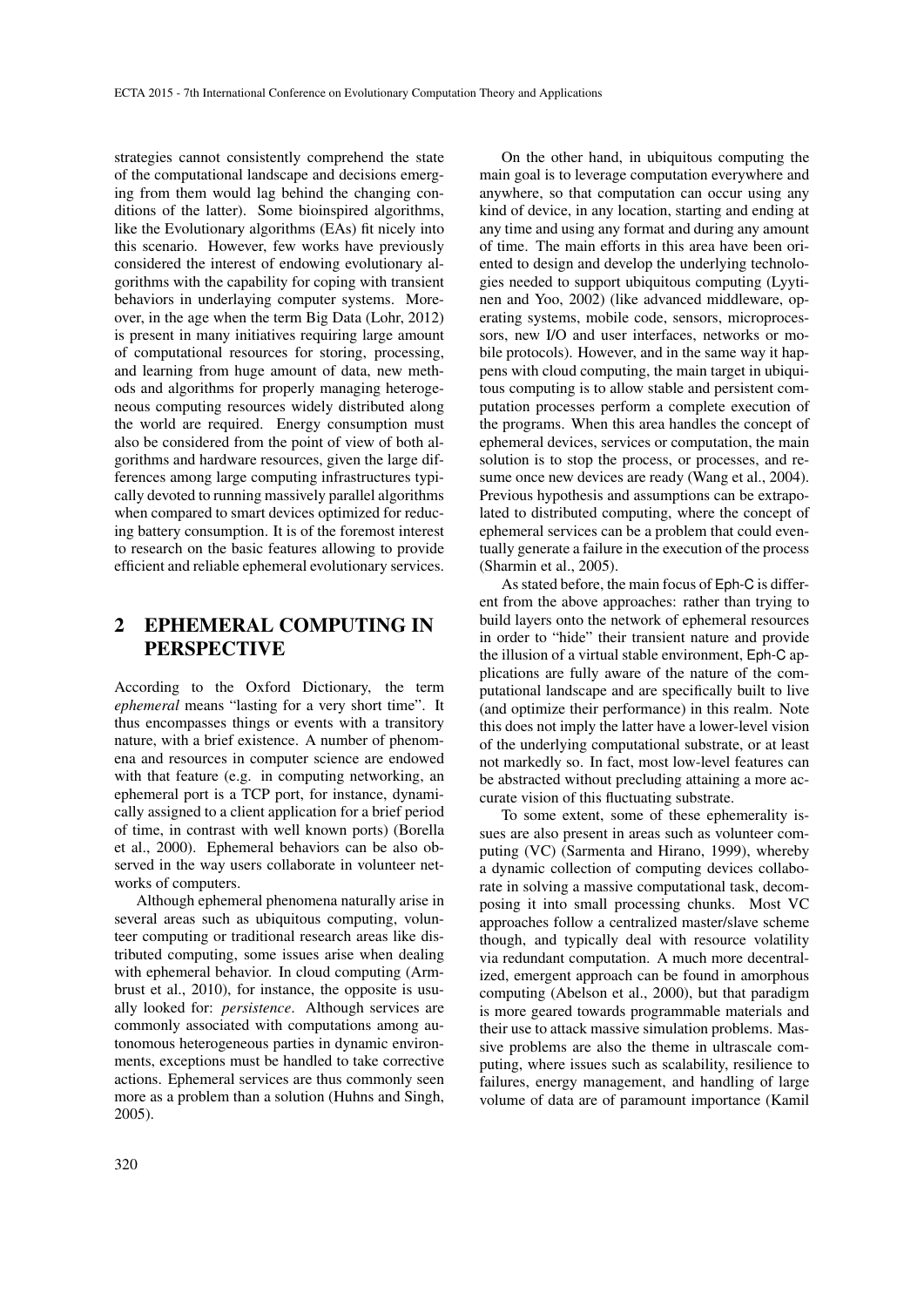strategies cannot consistently comprehend the state of the computational landscape and decisions emerging from them would lag behind the changing conditions of the latter). Some bioinspired algorithms, like the Evolutionary algorithms (EAs) fit nicely into this scenario. However, few works have previously considered the interest of endowing evolutionary algorithms with the capability for coping with transient behaviors in underlaying computer systems. Moreover, in the age when the term Big Data (Lohr, 2012) is present in many initiatives requiring large amount of computational resources for storing, processing, and learning from huge amount of data, new methods and algorithms for properly managing heterogeneous computing resources widely distributed along the world are required. Energy consumption must also be considered from the point of view of both algorithms and hardware resources, given the large differences among large computing infrastructures typically devoted to running massively parallel algorithms when compared to smart devices optimized for reducing battery consumption. It is of the foremost interest to research on the basic features allowing to provide efficient and reliable ephemeral evolutionary services.

### 2 EPHEMERAL COMPUTING IN PERSPECTIVE

According to the Oxford Dictionary, the term *ephemeral* means "lasting for a very short time". It thus encompasses things or events with a transitory nature, with a brief existence. A number of phenomena and resources in computer science are endowed with that feature (e.g. in computing networking, an ephemeral port is a TCP port, for instance, dynamically assigned to a client application for a brief period of time, in contrast with well known ports) (Borella et al., 2000). Ephemeral behaviors can be also observed in the way users collaborate in volunteer networks of computers.

Although ephemeral phenomena naturally arise in several areas such as ubiquitous computing, volunteer computing or traditional research areas like distributed computing, some issues arise when dealing with ephemeral behavior. In cloud computing (Armbrust et al., 2010), for instance, the opposite is usually looked for: *persistence*. Although services are commonly associated with computations among autonomous heterogeneous parties in dynamic environments, exceptions must be handled to take corrective actions. Ephemeral services are thus commonly seen more as a problem than a solution (Huhns and Singh, 2005).

On the other hand, in ubiquitous computing the main goal is to leverage computation everywhere and anywhere, so that computation can occur using any kind of device, in any location, starting and ending at any time and using any format and during any amount of time. The main efforts in this area have been oriented to design and develop the underlying technologies needed to support ubiquitous computing (Lyytinen and Yoo, 2002) (like advanced middleware, operating systems, mobile code, sensors, microprocessors, new I/O and user interfaces, networks or mobile protocols). However, and in the same way it happens with cloud computing, the main target in ubiquitous computing is to allow stable and persistent computation processes perform a complete execution of the programs. When this area handles the concept of ephemeral devices, services or computation, the main solution is to stop the process, or processes, and resume once new devices are ready (Wang et al., 2004). Previous hypothesis and assumptions can be extrapolated to distributed computing, where the concept of ephemeral services can be a problem that could eventually generate a failure in the execution of the process (Sharmin et al., 2005).

As stated before, the main focus of Eph-C is different from the above approaches: rather than trying to build layers onto the network of ephemeral resources in order to "hide" their transient nature and provide the illusion of a virtual stable environment, Eph-C applications are fully aware of the nature of the computational landscape and are specifically built to live (and optimize their performance) in this realm. Note this does not imply the latter have a lower-level vision of the underlying computational substrate, or at least not markedly so. In fact, most low-level features can be abstracted without precluding attaining a more accurate vision of this fluctuating substrate.

To some extent, some of these ephemerality issues are also present in areas such as volunteer computing (VC) (Sarmenta and Hirano, 1999), whereby a dynamic collection of computing devices collaborate in solving a massive computational task, decomposing it into small processing chunks. Most VC approaches follow a centralized master/slave scheme though, and typically deal with resource volatility via redundant computation. A much more decentralized, emergent approach can be found in amorphous computing (Abelson et al., 2000), but that paradigm is more geared towards programmable materials and their use to attack massive simulation problems. Massive problems are also the theme in ultrascale computing, where issues such as scalability, resilience to failures, energy management, and handling of large volume of data are of paramount importance (Kamil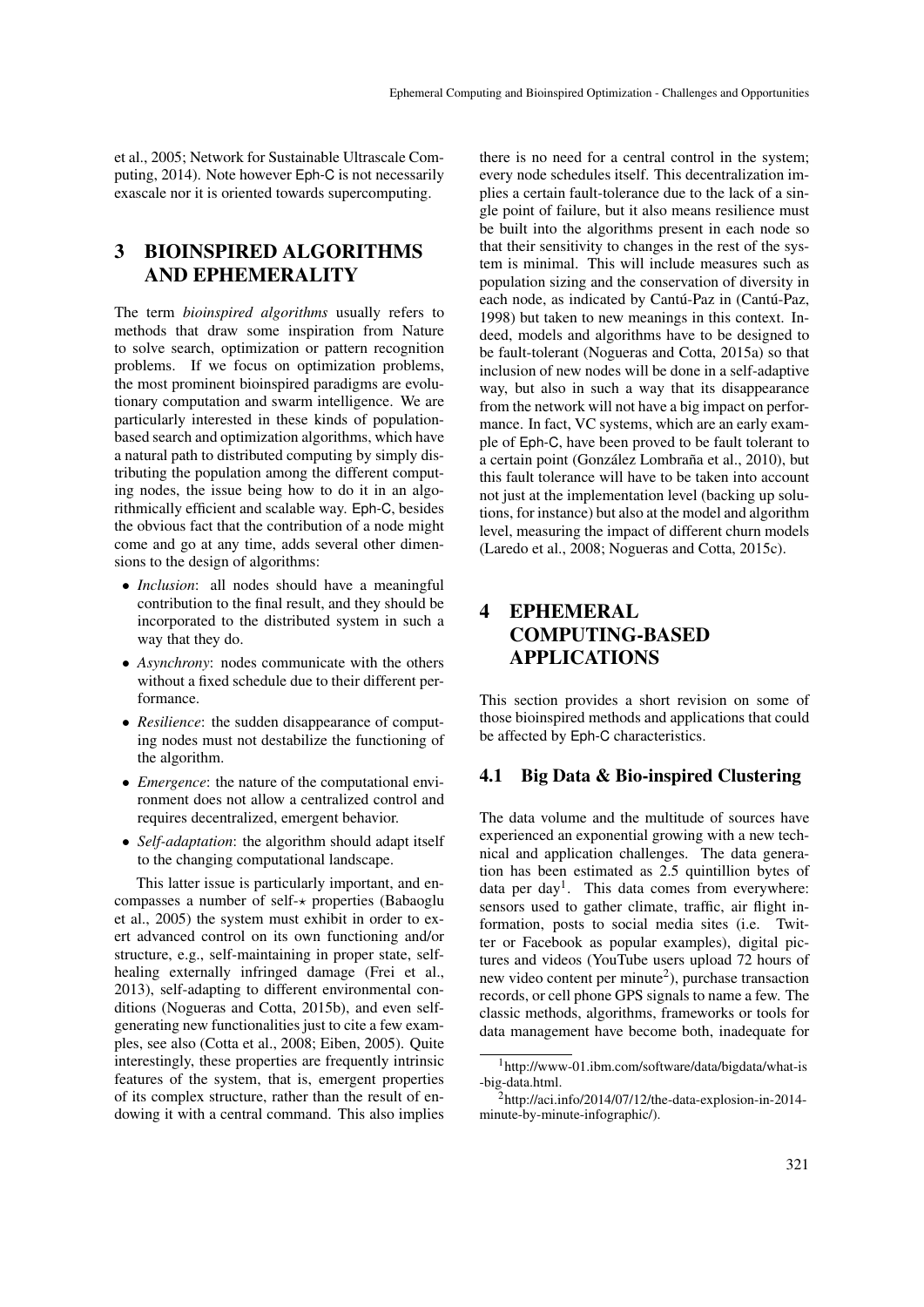et al., 2005; Network for Sustainable Ultrascale Computing, 2014). Note however Eph-C is not necessarily exascale nor it is oriented towards supercomputing.

## 3 BIOINSPIRED ALGORITHMS AND EPHEMERALITY

The term *bioinspired algorithms* usually refers to methods that draw some inspiration from Nature to solve search, optimization or pattern recognition problems. If we focus on optimization problems, the most prominent bioinspired paradigms are evolutionary computation and swarm intelligence. We are particularly interested in these kinds of populationbased search and optimization algorithms, which have a natural path to distributed computing by simply distributing the population among the different computing nodes, the issue being how to do it in an algorithmically efficient and scalable way. Eph-C, besides the obvious fact that the contribution of a node might come and go at any time, adds several other dimensions to the design of algorithms:

- *Inclusion*: all nodes should have a meaningful contribution to the final result, and they should be incorporated to the distributed system in such a way that they do.
- *Asynchrony*: nodes communicate with the others without a fixed schedule due to their different performance.
- *Resilience*: the sudden disappearance of computing nodes must not destabilize the functioning of the algorithm.
- *Emergence*: the nature of the computational environment does not allow a centralized control and requires decentralized, emergent behavior.
- *Self-adaptation*: the algorithm should adapt itself to the changing computational landscape.

This latter issue is particularly important, and encompasses a number of self- $\star$  properties (Babaoglu et al., 2005) the system must exhibit in order to exert advanced control on its own functioning and/or structure, e.g., self-maintaining in proper state, selfhealing externally infringed damage (Frei et al., 2013), self-adapting to different environmental conditions (Nogueras and Cotta, 2015b), and even selfgenerating new functionalities just to cite a few examples, see also (Cotta et al., 2008; Eiben, 2005). Quite interestingly, these properties are frequently intrinsic features of the system, that is, emergent properties of its complex structure, rather than the result of endowing it with a central command. This also implies

there is no need for a central control in the system; every node schedules itself. This decentralization implies a certain fault-tolerance due to the lack of a single point of failure, but it also means resilience must be built into the algorithms present in each node so that their sensitivity to changes in the rest of the system is minimal. This will include measures such as population sizing and the conservation of diversity in each node, as indicated by Cantú-Paz in (Cantú-Paz, 1998) but taken to new meanings in this context. Indeed, models and algorithms have to be designed to be fault-tolerant (Nogueras and Cotta, 2015a) so that inclusion of new nodes will be done in a self-adaptive way, but also in such a way that its disappearance from the network will not have a big impact on performance. In fact, VC systems, which are an early example of Eph-C, have been proved to be fault tolerant to a certain point (González Lombraña et al., 2010), but this fault tolerance will have to be taken into account not just at the implementation level (backing up solutions, for instance) but also at the model and algorithm level, measuring the impact of different churn models (Laredo et al., 2008; Nogueras and Cotta, 2015c).

## 4 EPHEMERAL COMPUTING-BASED APPLICATIONS

This section provides a short revision on some of those bioinspired methods and applications that could be affected by Eph-C characteristics.

#### 4.1 Big Data & Bio-inspired Clustering

The data volume and the multitude of sources have experienced an exponential growing with a new technical and application challenges. The data generation has been estimated as 2.5 quintillion bytes of data per day<sup>1</sup>. This data comes from everywhere: sensors used to gather climate, traffic, air flight information, posts to social media sites (i.e. Twitter or Facebook as popular examples), digital pictures and videos (YouTube users upload 72 hours of new video content per minute<sup>2</sup>), purchase transaction records, or cell phone GPS signals to name a few. The classic methods, algorithms, frameworks or tools for data management have become both, inadequate for

<sup>1</sup>http://www-01.ibm.com/software/data/bigdata/what-is -big-data.html.

 $^{2}$ http://aci.info/2014/07/12/the-data-explosion-in-2014minute-by-minute-infographic/).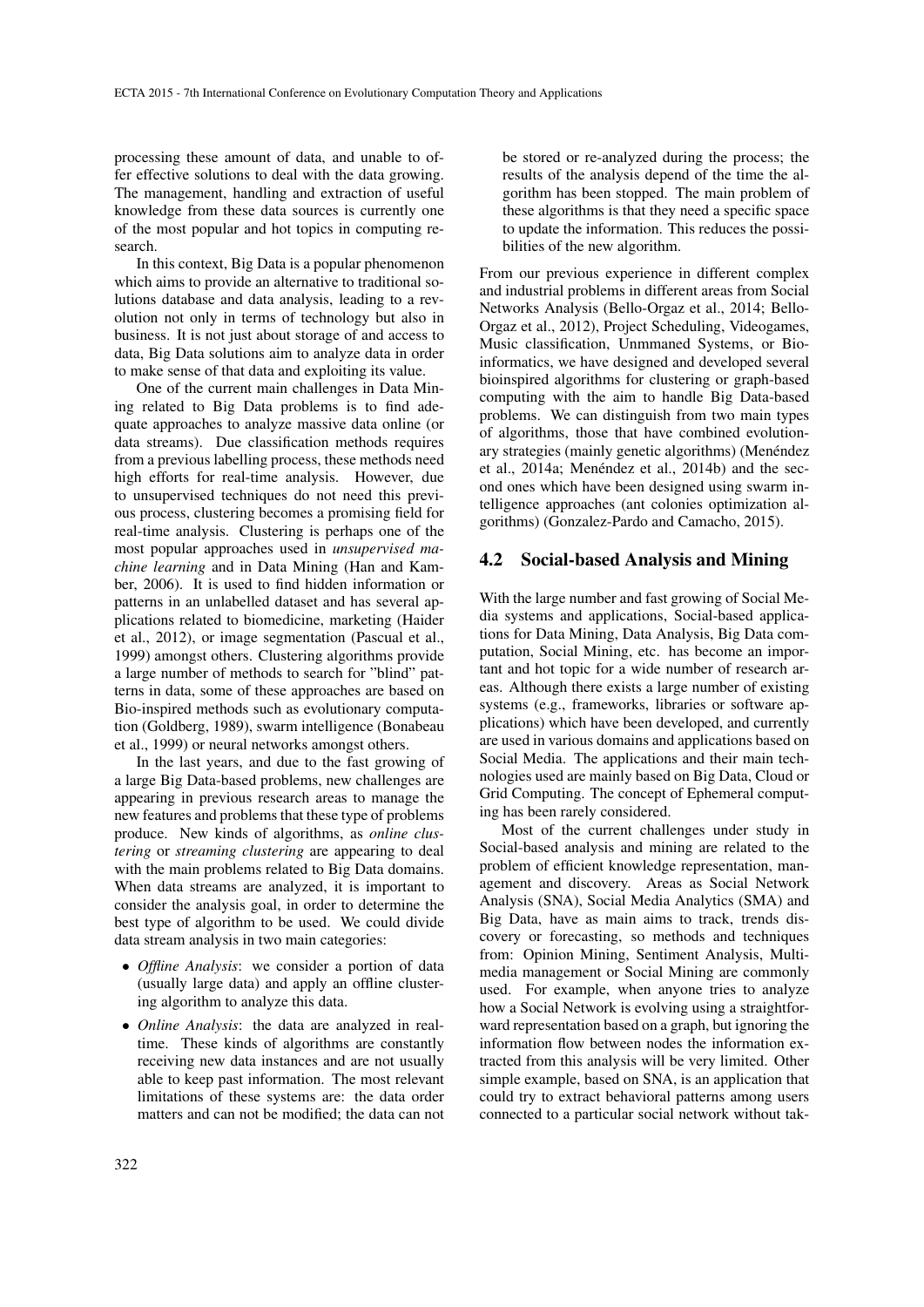processing these amount of data, and unable to offer effective solutions to deal with the data growing. The management, handling and extraction of useful knowledge from these data sources is currently one of the most popular and hot topics in computing research.

In this context, Big Data is a popular phenomenon which aims to provide an alternative to traditional solutions database and data analysis, leading to a revolution not only in terms of technology but also in business. It is not just about storage of and access to data, Big Data solutions aim to analyze data in order to make sense of that data and exploiting its value.

One of the current main challenges in Data Mining related to Big Data problems is to find adequate approaches to analyze massive data online (or data streams). Due classification methods requires from a previous labelling process, these methods need high efforts for real-time analysis. However, due to unsupervised techniques do not need this previous process, clustering becomes a promising field for real-time analysis. Clustering is perhaps one of the most popular approaches used in *unsupervised machine learning* and in Data Mining (Han and Kamber, 2006). It is used to find hidden information or patterns in an unlabelled dataset and has several applications related to biomedicine, marketing (Haider et al., 2012), or image segmentation (Pascual et al., 1999) amongst others. Clustering algorithms provide a large number of methods to search for "blind" patterns in data, some of these approaches are based on Bio-inspired methods such as evolutionary computation (Goldberg, 1989), swarm intelligence (Bonabeau et al., 1999) or neural networks amongst others.

In the last years, and due to the fast growing of a large Big Data-based problems, new challenges are appearing in previous research areas to manage the new features and problems that these type of problems produce. New kinds of algorithms, as *online clustering* or *streaming clustering* are appearing to deal with the main problems related to Big Data domains. When data streams are analyzed, it is important to consider the analysis goal, in order to determine the best type of algorithm to be used. We could divide data stream analysis in two main categories:

- *Offline Analysis*: we consider a portion of data (usually large data) and apply an offline clustering algorithm to analyze this data.
- *Online Analysis*: the data are analyzed in realtime. These kinds of algorithms are constantly receiving new data instances and are not usually able to keep past information. The most relevant limitations of these systems are: the data order matters and can not be modified; the data can not

be stored or re-analyzed during the process; the results of the analysis depend of the time the algorithm has been stopped. The main problem of these algorithms is that they need a specific space to update the information. This reduces the possibilities of the new algorithm.

From our previous experience in different complex and industrial problems in different areas from Social Networks Analysis (Bello-Orgaz et al., 2014; Bello-Orgaz et al., 2012), Project Scheduling, Videogames, Music classification, Unmmaned Systems, or Bioinformatics, we have designed and developed several bioinspired algorithms for clustering or graph-based computing with the aim to handle Big Data-based problems. We can distinguish from two main types of algorithms, those that have combined evolutionary strategies (mainly genetic algorithms) (Menéndez et al., 2014a; Menéndez et al., 2014b) and the second ones which have been designed using swarm intelligence approaches (ant colonies optimization algorithms) (Gonzalez-Pardo and Camacho, 2015).

#### 4.2 Social-based Analysis and Mining

With the large number and fast growing of Social Media systems and applications, Social-based applications for Data Mining, Data Analysis, Big Data computation, Social Mining, etc. has become an important and hot topic for a wide number of research areas. Although there exists a large number of existing systems (e.g., frameworks, libraries or software applications) which have been developed, and currently are used in various domains and applications based on Social Media. The applications and their main technologies used are mainly based on Big Data, Cloud or Grid Computing. The concept of Ephemeral computing has been rarely considered.

Most of the current challenges under study in Social-based analysis and mining are related to the problem of efficient knowledge representation, management and discovery. Areas as Social Network Analysis (SNA), Social Media Analytics (SMA) and Big Data, have as main aims to track, trends discovery or forecasting, so methods and techniques from: Opinion Mining, Sentiment Analysis, Multimedia management or Social Mining are commonly used. For example, when anyone tries to analyze how a Social Network is evolving using a straightforward representation based on a graph, but ignoring the information flow between nodes the information extracted from this analysis will be very limited. Other simple example, based on SNA, is an application that could try to extract behavioral patterns among users connected to a particular social network without tak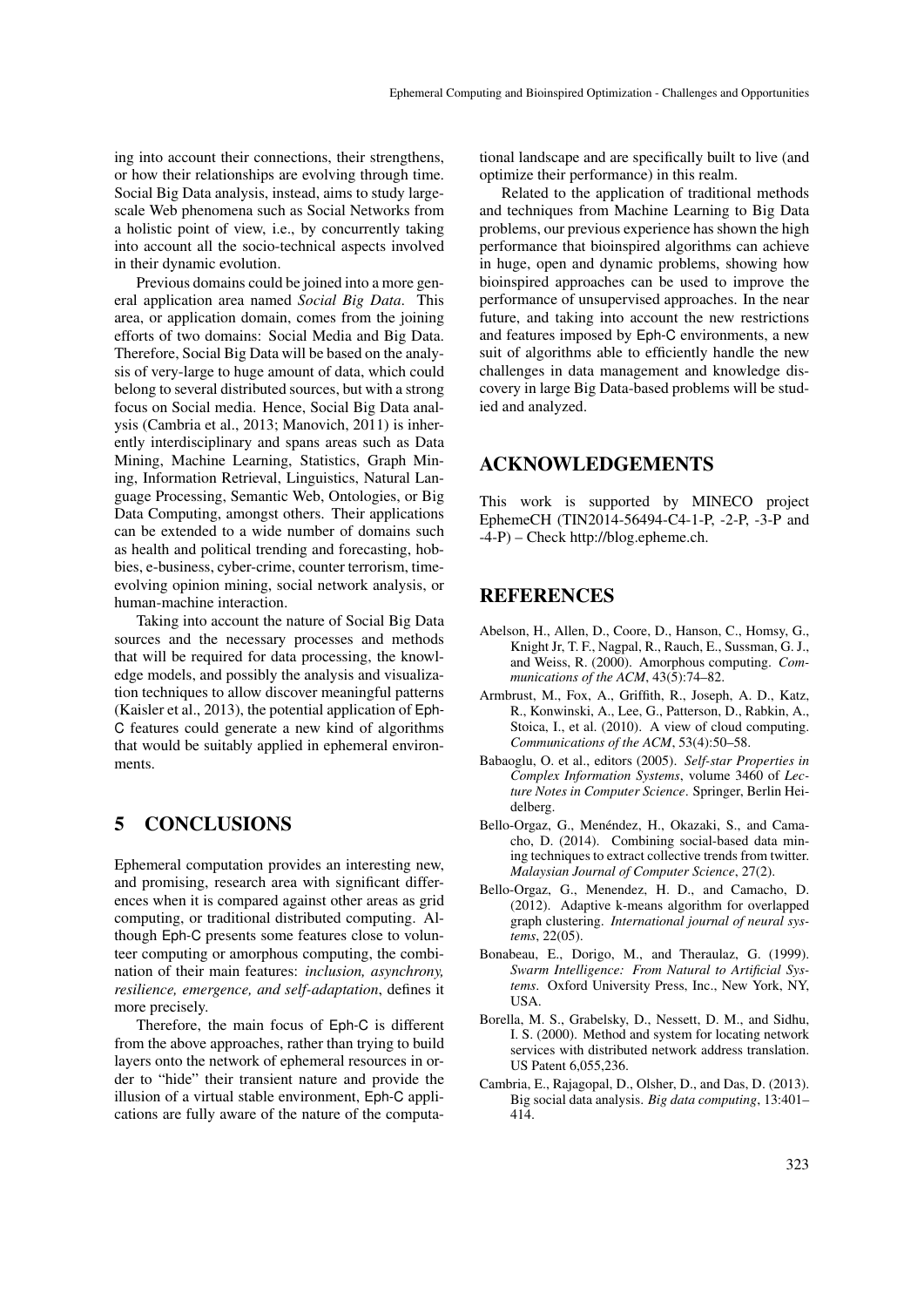ing into account their connections, their strengthens, or how their relationships are evolving through time. Social Big Data analysis, instead, aims to study largescale Web phenomena such as Social Networks from a holistic point of view, i.e., by concurrently taking into account all the socio-technical aspects involved in their dynamic evolution.

Previous domains could be joined into a more general application area named *Social Big Data*. This area, or application domain, comes from the joining efforts of two domains: Social Media and Big Data. Therefore, Social Big Data will be based on the analysis of very-large to huge amount of data, which could belong to several distributed sources, but with a strong focus on Social media. Hence, Social Big Data analysis (Cambria et al., 2013; Manovich, 2011) is inherently interdisciplinary and spans areas such as Data Mining, Machine Learning, Statistics, Graph Mining, Information Retrieval, Linguistics, Natural Language Processing, Semantic Web, Ontologies, or Big Data Computing, amongst others. Their applications can be extended to a wide number of domains such as health and political trending and forecasting, hobbies, e-business, cyber-crime, counter terrorism, timeevolving opinion mining, social network analysis, or human-machine interaction.

Taking into account the nature of Social Big Data sources and the necessary processes and methods that will be required for data processing, the knowledge models, and possibly the analysis and visualization techniques to allow discover meaningful patterns (Kaisler et al., 2013), the potential application of Eph-C features could generate a new kind of algorithms that would be suitably applied in ephemeral environments.

### 5 CONCLUSIONS

Ephemeral computation provides an interesting new, and promising, research area with significant differences when it is compared against other areas as grid computing, or traditional distributed computing. Although Eph-C presents some features close to volunteer computing or amorphous computing, the combination of their main features: *inclusion, asynchrony, resilience, emergence, and self-adaptation*, defines it more precisely.

Therefore, the main focus of Eph-C is different from the above approaches, rather than trying to build layers onto the network of ephemeral resources in order to "hide" their transient nature and provide the illusion of a virtual stable environment, Eph-C applications are fully aware of the nature of the computational landscape and are specifically built to live (and optimize their performance) in this realm.

Related to the application of traditional methods and techniques from Machine Learning to Big Data problems, our previous experience has shown the high performance that bioinspired algorithms can achieve in huge, open and dynamic problems, showing how bioinspired approaches can be used to improve the performance of unsupervised approaches. In the near future, and taking into account the new restrictions and features imposed by Eph-C environments, a new suit of algorithms able to efficiently handle the new challenges in data management and knowledge discovery in large Big Data-based problems will be studied and analyzed.

### ACKNOWLEDGEMENTS

This work is supported by MINECO project EphemeCH (TIN2014-56494-C4-1-P, -2-P, -3-P and -4-P) – Check http://blog.epheme.ch.

### **REFERENCES**

- Abelson, H., Allen, D., Coore, D., Hanson, C., Homsy, G., Knight Jr, T. F., Nagpal, R., Rauch, E., Sussman, G. J., and Weiss, R. (2000). Amorphous computing. *Communications of the ACM*, 43(5):74–82.
- Armbrust, M., Fox, A., Griffith, R., Joseph, A. D., Katz, R., Konwinski, A., Lee, G., Patterson, D., Rabkin, A., Stoica, I., et al. (2010). A view of cloud computing. *Communications of the ACM*, 53(4):50–58.
- Babaoglu, O. et al., editors (2005). *Self-star Properties in Complex Information Systems*, volume 3460 of *Lecture Notes in Computer Science*. Springer, Berlin Heidelberg.
- Bello-Orgaz, G., Menéndez, H., Okazaki, S., and Camacho, D. (2014). Combining social-based data mining techniques to extract collective trends from twitter. *Malaysian Journal of Computer Science*, 27(2).
- Bello-Orgaz, G., Menendez, H. D., and Camacho, D. (2012). Adaptive k-means algorithm for overlapped graph clustering. *International journal of neural systems*, 22(05).
- Bonabeau, E., Dorigo, M., and Theraulaz, G. (1999). *Swarm Intelligence: From Natural to Artificial Systems*. Oxford University Press, Inc., New York, NY, USA.
- Borella, M. S., Grabelsky, D., Nessett, D. M., and Sidhu, I. S. (2000). Method and system for locating network services with distributed network address translation. US Patent 6,055,236.
- Cambria, E., Rajagopal, D., Olsher, D., and Das, D. (2013). Big social data analysis. *Big data computing*, 13:401– 414.